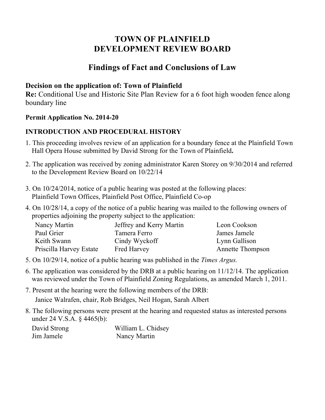# **TOWN OF PLAINFIELD DEVELOPMENT REVIEW BOARD**

## **Findings of Fact and Conclusions of Law**

#### **Decision on the application of: Town of Plainfield**

**Re:** Conditional Use and Historic Site Plan Review for a 6 foot high wooden fence along boundary line

#### **Permit Application No. 2014-20**

### **INTRODUCTION AND PROCEDURAL HISTORY**

- 1. This proceeding involves review of an application for a boundary fence at the Plainfield Town Hall Opera House submitted by David Strong for the Town of Plainfield**.**
- 2. The application was received by zoning administrator Karen Storey on 9/30/2014 and referred to the Development Review Board on 10/22/14
- 3. On 10/24/2014, notice of a public hearing was posted at the following places: Plainfield Town Offices, Plainfield Post Office, Plainfield Co-op
- 4. On 10/28/14, a copy of the notice of a public hearing was mailed to the following owners of properties adjoining the property subject to the application:

| Nancy Martin            | Jeffrey and Kerry Martin | Leon Cookson            |
|-------------------------|--------------------------|-------------------------|
| Paul Grier              | Tamera Ferro             | James Jamele            |
| Keith Swann             | Cindy Wyckoff            | Lynn Gallison           |
| Priscilla Harvey Estate | <b>Fred Harvey</b>       | <b>Annette Thompson</b> |

- 5. On 10/29/14, notice of a public hearing was published in the *Times Argus.*
- 6. The application was considered by the DRB at a public hearing on 11/12/14. The application was reviewed under the Town of Plainfield Zoning Regulations, as amended March 1, 2011.
- 7. Present at the hearing were the following members of the DRB: Janice Walrafen, chair, Rob Bridges, Neil Hogan, Sarah Albert
- 8. The following persons were present at the hearing and requested status as interested persons under 24 V.S.A. § 4465(b):

| David Strong | William L. Chidsey |
|--------------|--------------------|
| Jim Jamele   | Nancy Martin       |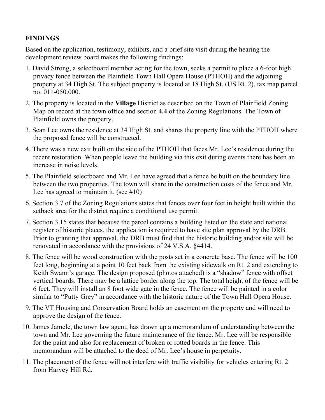#### **FINDINGS**

Based on the application, testimony, exhibits, and a brief site visit during the hearing the development review board makes the following findings:

- 1. David Strong, a selectboard member acting for the town, seeks a permit to place a 6-foot high privacy fence between the Plainfield Town Hall Opera House (PTHOH) and the adjoining property at 34 High St. The subject property is located at 18 High St. (US Rt. 2), tax map parcel no. 011-050.000.
- 2. The property is located in the **Village** District as described on the Town of Plainfield Zoning Map on record at the town office and section **4.4** of the Zoning Regulations. The Town of Plainfield owns the property.
- 3. Sean Lee owns the residence at 34 High St. and shares the property line with the PTHOH where the proposed fence will be constructed.
- 4. There was a new exit built on the side of the PTHOH that faces Mr. Lee's residence during the recent restoration. When people leave the building via this exit during events there has been an increase in noise levels.
- 5. The Plainfield selectboard and Mr. Lee have agreed that a fence be built on the boundary line between the two properties. The town will share in the construction costs of the fence and Mr. Lee has agreed to maintain it. (see  $\#10$ )
- 6. Section 3.7 of the Zoning Regulations states that fences over four feet in height built within the setback area for the district require a conditional use permit.
- 7. Section 3.15 states that because the parcel contains a building listed on the state and national register of historic places, the application is required to have site plan approval by the DRB. Prior to granting that approval, the DRB must find that the historic building and/or site will be renovated in accordance with the provisions of 24 V.S.A. §4414.
- 8. The fence will be wood construction with the posts set in a concrete base. The fence will be 100 feet long, beginning at a point 10 feet back from the existing sidewalk on Rt. 2 and extending to Keith Swann's garage. The design proposed (photos attached) is a "shadow" fence with offset vertical boards. There may be a lattice border along the top. The total height of the fence will be 6 feet. They will install an 8 foot wide gate in the fence. The fence will be painted in a color similar to "Putty Grey" in accordance with the historic nature of the Town Hall Opera House.
- 9. The VT Housing and Conservation Board holds an easement on the property and will need to approve the design of the fence.
- 10. James Jamele, the town law agent, has drawn up a memorandum of understanding between the town and Mr. Lee governing the future maintenance of the fence. Mr. Lee will be responsible for the paint and also for replacement of broken or rotted boards in the fence. This memorandum will be attached to the deed of Mr. Lee's house in perpetuity.
- 11. The placement of the fence will not interfere with traffic visibility for vehicles entering Rt. 2 from Harvey Hill Rd.